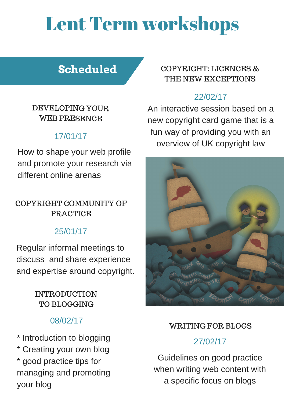# **Scheduled**

#### DEVELOPING YOUR WEB PRESENCE

How to shape your web profile and promote your research via different online arenas

### 17/01/17

# Lent Term workshops

#### INTRODUCTION TO BLOGGING

08/02/17

\* Introduction to blogging \* Creating your own blog \* good practice tips for managing and promoting your blog

COPYRIGHT COMMUNITY OF PRACTICE

Regular informal meetings to discuss and share experience and expertise around copyright.

#### 25/01/17

Guidelines on good practice when writing web content with a specific focus on blogs

#### 27/02/17

#### WRITING FOR BLOGS

#### COPYRIGHT: LICENCES & THE NEW EXCEPTIONS

#### 22/02/17

An interactive session based on a new copyright card game that is a fun way of providing you with an overview of UK copyright law